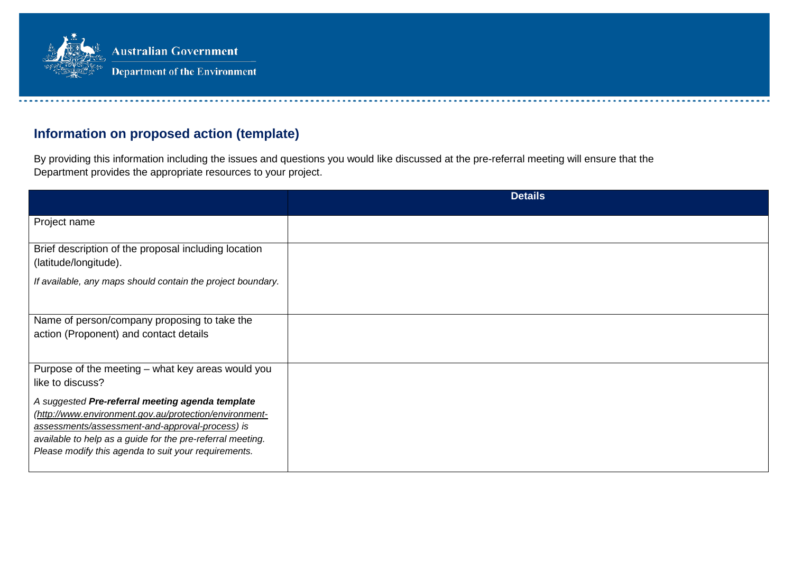

## **Information on proposed action (template)**

By providing this information including the issues and questions you would like discussed at the pre-referral meeting will ensure that the Department provides the appropriate resources to your project.

|                                                                                                                                                                                                                                                                                     | <b>Details</b> |
|-------------------------------------------------------------------------------------------------------------------------------------------------------------------------------------------------------------------------------------------------------------------------------------|----------------|
| Project name                                                                                                                                                                                                                                                                        |                |
| Brief description of the proposal including location<br>(latitude/longitude).                                                                                                                                                                                                       |                |
| If available, any maps should contain the project boundary.                                                                                                                                                                                                                         |                |
| Name of person/company proposing to take the<br>action (Proponent) and contact details                                                                                                                                                                                              |                |
| Purpose of the meeting – what key areas would you<br>like to discuss?                                                                                                                                                                                                               |                |
| A suggested Pre-referral meeting agenda template<br>(http://www.environment.gov.au/protection/environment-<br>assessments/assessment-and-approval-process) is<br>available to help as a guide for the pre-referral meeting.<br>Please modify this agenda to suit your requirements. |                |